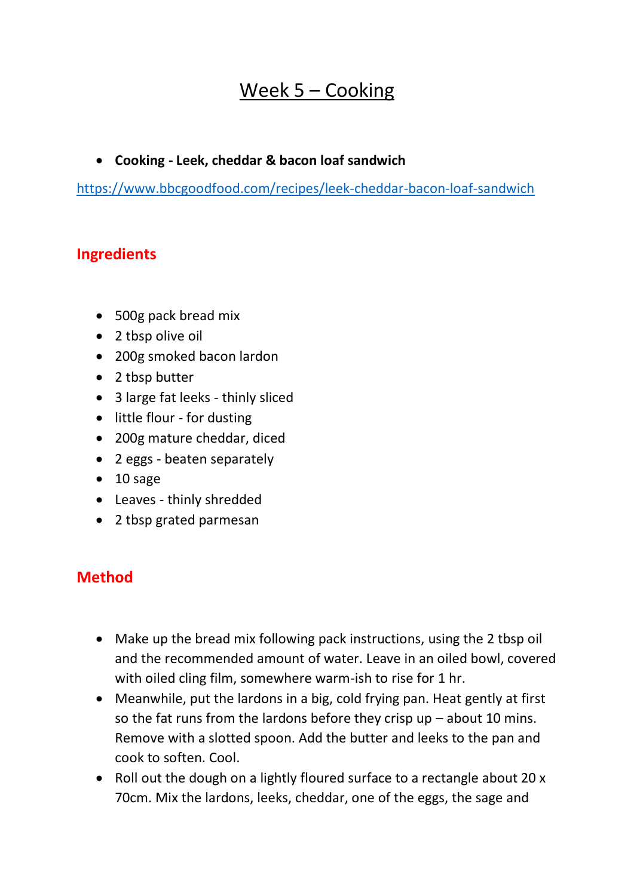## Week 5 – Cooking

## • **Cooking - Leek, cheddar & bacon loaf sandwich**

<https://www.bbcgoodfood.com/recipes/leek-cheddar-bacon-loaf-sandwich>

## **Ingredients**

- 500g pack bread mix
- 2 tbsp olive oil
- 200g smoked bacon lardon
- 2 tbsp butter
- 3 large fat leeks thinly sliced
- little flour for dusting
- 200g mature cheddar, diced
- 2 eggs beaten separately
- 10 sage
- Leaves thinly shredded
- 2 tbsp grated parmesan

## **Method**

- Make up the bread mix following pack instructions, using the 2 tbsp oil and the recommended amount of water. Leave in an oiled bowl, covered with oiled cling film, somewhere warm-ish to rise for 1 hr.
- Meanwhile, put the lardons in a big, cold frying pan. Heat gently at first so the fat runs from the lardons before they crisp  $up$  – about 10 mins. Remove with a slotted spoon. Add the butter and leeks to the pan and cook to soften. Cool.
- Roll out the dough on a lightly floured surface to a rectangle about 20 x 70cm. Mix the lardons, leeks, cheddar, one of the eggs, the sage and